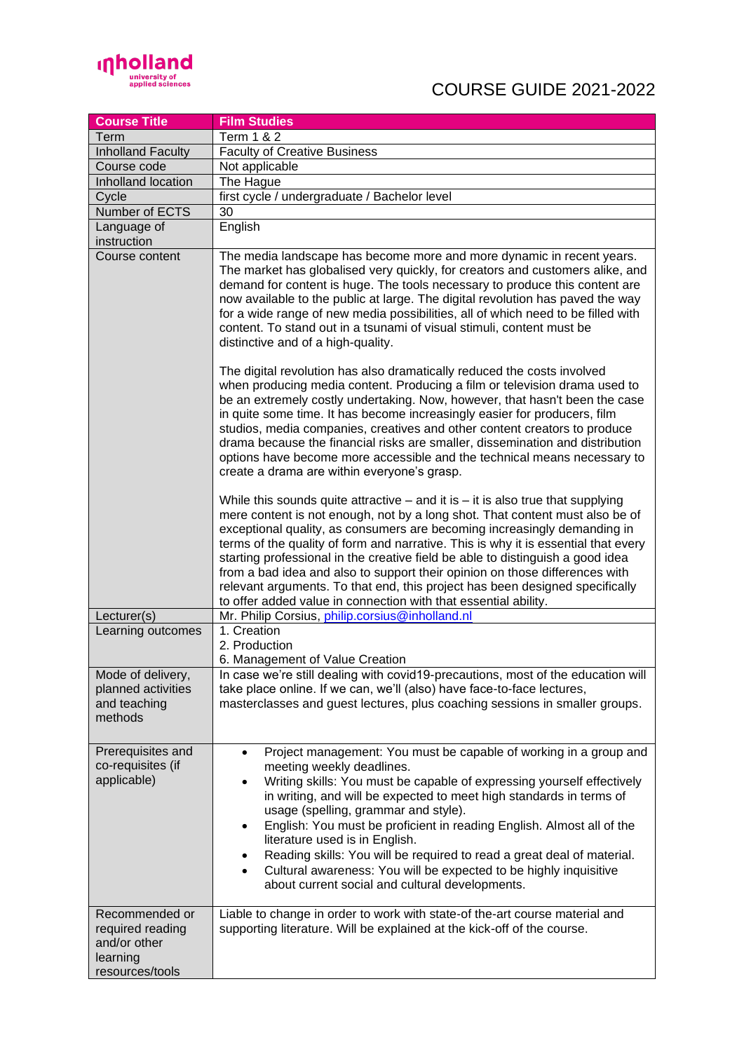

## COURSE GUIDE 2021-2022

| <b>Course Title</b>                                                               | <b>Film Studies</b>                                                                                                                                                                                                                                                                                                                                                                                                                                                                                                                                                                                                                                                                                                                                                                                                                                                                                                                                                                                                                                                                                                                      |
|-----------------------------------------------------------------------------------|------------------------------------------------------------------------------------------------------------------------------------------------------------------------------------------------------------------------------------------------------------------------------------------------------------------------------------------------------------------------------------------------------------------------------------------------------------------------------------------------------------------------------------------------------------------------------------------------------------------------------------------------------------------------------------------------------------------------------------------------------------------------------------------------------------------------------------------------------------------------------------------------------------------------------------------------------------------------------------------------------------------------------------------------------------------------------------------------------------------------------------------|
| Term                                                                              | <b>Term 1 &amp; 2</b>                                                                                                                                                                                                                                                                                                                                                                                                                                                                                                                                                                                                                                                                                                                                                                                                                                                                                                                                                                                                                                                                                                                    |
| <b>Inholland Faculty</b>                                                          | <b>Faculty of Creative Business</b>                                                                                                                                                                                                                                                                                                                                                                                                                                                                                                                                                                                                                                                                                                                                                                                                                                                                                                                                                                                                                                                                                                      |
| Course code                                                                       | Not applicable                                                                                                                                                                                                                                                                                                                                                                                                                                                                                                                                                                                                                                                                                                                                                                                                                                                                                                                                                                                                                                                                                                                           |
| Inholland location                                                                | The Hague                                                                                                                                                                                                                                                                                                                                                                                                                                                                                                                                                                                                                                                                                                                                                                                                                                                                                                                                                                                                                                                                                                                                |
| Cycle                                                                             | first cycle / undergraduate / Bachelor level                                                                                                                                                                                                                                                                                                                                                                                                                                                                                                                                                                                                                                                                                                                                                                                                                                                                                                                                                                                                                                                                                             |
| Number of ECTS                                                                    | 30                                                                                                                                                                                                                                                                                                                                                                                                                                                                                                                                                                                                                                                                                                                                                                                                                                                                                                                                                                                                                                                                                                                                       |
| Language of                                                                       | English                                                                                                                                                                                                                                                                                                                                                                                                                                                                                                                                                                                                                                                                                                                                                                                                                                                                                                                                                                                                                                                                                                                                  |
| instruction                                                                       |                                                                                                                                                                                                                                                                                                                                                                                                                                                                                                                                                                                                                                                                                                                                                                                                                                                                                                                                                                                                                                                                                                                                          |
| Course content                                                                    | The media landscape has become more and more dynamic in recent years.<br>The market has globalised very quickly, for creators and customers alike, and<br>demand for content is huge. The tools necessary to produce this content are<br>now available to the public at large. The digital revolution has paved the way<br>for a wide range of new media possibilities, all of which need to be filled with<br>content. To stand out in a tsunami of visual stimuli, content must be<br>distinctive and of a high-quality.<br>The digital revolution has also dramatically reduced the costs involved<br>when producing media content. Producing a film or television drama used to<br>be an extremely costly undertaking. Now, however, that hasn't been the case<br>in quite some time. It has become increasingly easier for producers, film<br>studios, media companies, creatives and other content creators to produce<br>drama because the financial risks are smaller, dissemination and distribution<br>options have become more accessible and the technical means necessary to<br>create a drama are within everyone's grasp. |
|                                                                                   | While this sounds quite attractive $-$ and it is $-$ it is also true that supplying<br>mere content is not enough, not by a long shot. That content must also be of<br>exceptional quality, as consumers are becoming increasingly demanding in<br>terms of the quality of form and narrative. This is why it is essential that every<br>starting professional in the creative field be able to distinguish a good idea<br>from a bad idea and also to support their opinion on those differences with<br>relevant arguments. To that end, this project has been designed specifically<br>to offer added value in connection with that essential ability.                                                                                                                                                                                                                                                                                                                                                                                                                                                                                |
| Lecturer(s)                                                                       | Mr. Philip Corsius, philip.corsius@inholland.nl                                                                                                                                                                                                                                                                                                                                                                                                                                                                                                                                                                                                                                                                                                                                                                                                                                                                                                                                                                                                                                                                                          |
| Learning outcomes                                                                 | 1. Creation<br>2. Production<br>6. Management of Value Creation                                                                                                                                                                                                                                                                                                                                                                                                                                                                                                                                                                                                                                                                                                                                                                                                                                                                                                                                                                                                                                                                          |
| Mode of delivery,<br>planned activities<br>and teaching<br>methods                | In case we're still dealing with covid19-precautions, most of the education will<br>take place online. If we can, we'll (also) have face-to-face lectures,<br>masterclasses and guest lectures, plus coaching sessions in smaller groups.                                                                                                                                                                                                                                                                                                                                                                                                                                                                                                                                                                                                                                                                                                                                                                                                                                                                                                |
| Prerequisites and<br>co-requisites (if<br>applicable)                             | Project management: You must be capable of working in a group and<br>$\bullet$<br>meeting weekly deadlines.<br>Writing skills: You must be capable of expressing yourself effectively<br>$\bullet$<br>in writing, and will be expected to meet high standards in terms of<br>usage (spelling, grammar and style).<br>English: You must be proficient in reading English. Almost all of the<br>٠<br>literature used is in English.<br>Reading skills: You will be required to read a great deal of material.<br>٠<br>Cultural awareness: You will be expected to be highly inquisitive<br>$\bullet$<br>about current social and cultural developments.                                                                                                                                                                                                                                                                                                                                                                                                                                                                                    |
| Recommended or<br>required reading<br>and/or other<br>learning<br>resources/tools | Liable to change in order to work with state-of the-art course material and<br>supporting literature. Will be explained at the kick-off of the course.                                                                                                                                                                                                                                                                                                                                                                                                                                                                                                                                                                                                                                                                                                                                                                                                                                                                                                                                                                                   |